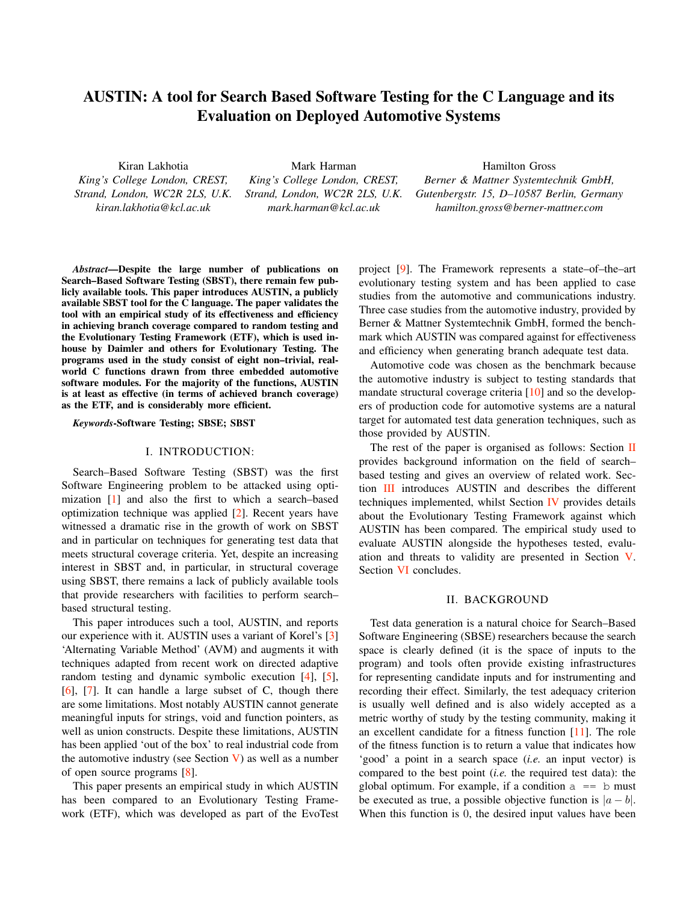# AUSTIN: A tool for Search Based Software Testing for the C Language and its Evaluation on Deployed Automotive Systems

Kiran Lakhotia *King's College London, CREST, Strand, London, WC2R 2LS, U.K. kiran.lakhotia@kcl.ac.uk*

Mark Harman *King's College London, CREST, Strand, London, WC2R 2LS, U.K. mark.harman@kcl.ac.uk*

Hamilton Gross *Berner & Mattner Systemtechnik GmbH, Gutenbergstr. 15, D–10587 Berlin, Germany hamilton.gross@berner-mattner.com*

*Abstract*—Despite the large number of publications on Search–Based Software Testing (SBST), there remain few publicly available tools. This paper introduces AUSTIN, a publicly available SBST tool for the C language. The paper validates the tool with an empirical study of its effectiveness and efficiency in achieving branch coverage compared to random testing and the Evolutionary Testing Framework (ETF), which is used inhouse by Daimler and others for Evolutionary Testing. The programs used in the study consist of eight non–trivial, realworld C functions drawn from three embedded automotive software modules. For the majority of the functions, AUSTIN is at least as effective (in terms of achieved branch coverage) as the ETF, and is considerably more efficient.

#### *Keywords*-Software Testing; SBSE; SBST

# I. INTRODUCTION:

Search–Based Software Testing (SBST) was the first Software Engineering problem to be attacked using optimization [1] and also the first to which a search–based optimization technique was applied [2]. Recent years have witnessed a dramatic rise in the growth of work on SBST and in particular on techniques for generating test data that meets structural coverage criteria. Yet, despite an increasing interest in SBST and, in particular, in structural coverage using SBST, there remains a lack of publicly available tools that provide researchers with facilities to perform search– based structural testing.

This paper introduces such a tool, AUSTIN, and reports our experience with it. AUSTIN uses a variant of Korel's [3] 'Alternating Variable Method' (AVM) and augments it with techniques adapted from recent work on directed adaptive random testing and dynamic symbolic execution [4], [5],  $[6]$ ,  $[7]$ . It can handle a large subset of C, though there are some limitations. Most notably AUSTIN cannot generate meaningful inputs for strings, void and function pointers, as well as union constructs. Despite these limitations, AUSTIN has been applied 'out of the box' to real industrial code from the automotive industry (see Section  $V$ ) as well as a number of open source programs [8].

This paper presents an empirical study in which AUSTIN has been compared to an Evolutionary Testing Framework (ETF), which was developed as part of the EvoTest project [9]. The Framework represents a state–of–the–art evolutionary testing system and has been applied to case studies from the automotive and communications industry. Three case studies from the automotive industry, provided by Berner & Mattner Systemtechnik GmbH, formed the benchmark which AUSTIN was compared against for effectiveness and efficiency when generating branch adequate test data.

Automotive code was chosen as the benchmark because the automotive industry is subject to testing standards that mandate structural coverage criteria [10] and so the developers of production code for automotive systems are a natural target for automated test data generation techniques, such as those provided by AUSTIN.

The rest of the paper is organised as follows: Section  $\Pi$ provides background information on the field of search– based testing and gives an overview of related work. Section III introduces AUSTIN and describes the different techniques implemented, whilst Section IV provides details about the Evolutionary Testing Framework against which AUSTIN has been compared. The empirical study used to evaluate AUSTIN alongside the hypotheses tested, evaluation and threats to validity are presented in Section V. Section VI concludes.

# II. BACKGROUND

Test data generation is a natural choice for Search–Based Software Engineering (SBSE) researchers because the search space is clearly defined (it is the space of inputs to the program) and tools often provide existing infrastructures for representing candidate inputs and for instrumenting and recording their effect. Similarly, the test adequacy criterion is usually well defined and is also widely accepted as a metric worthy of study by the testing community, making it an excellent candidate for a fitness function [11]. The role of the fitness function is to return a value that indicates how 'good' a point in a search space (*i.e.* an input vector) is compared to the best point (*i.e.* the required test data): the global optimum. For example, if a condition  $a == b$  must be executed as true, a possible objective function is  $|a - b|$ . When this function is 0, the desired input values have been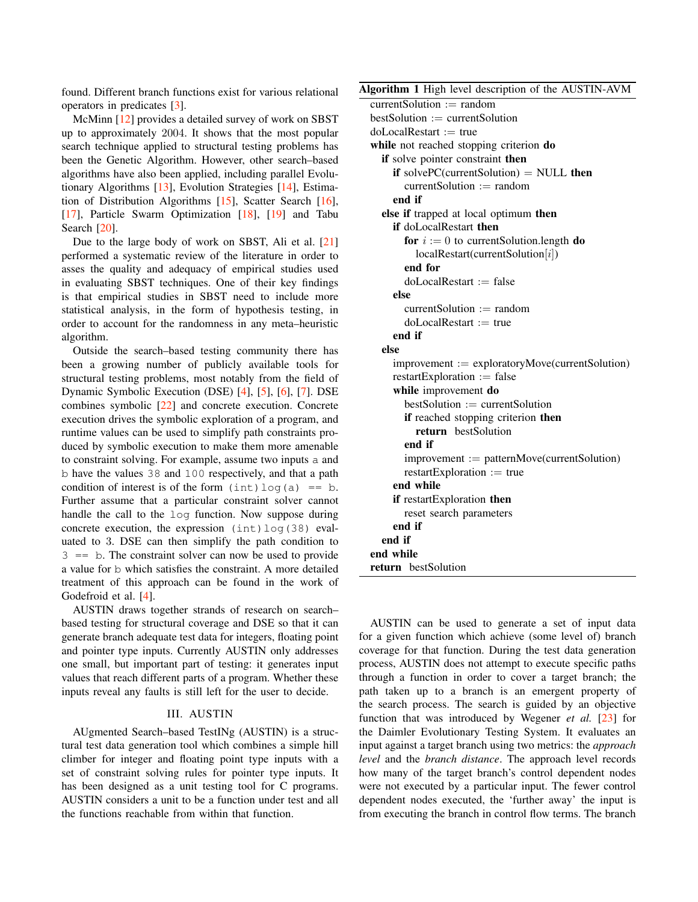found. Different branch functions exist for various relational operators in predicates [3].

McMinn [12] provides a detailed survey of work on SBST up to approximately 2004. It shows that the most popular search technique applied to structural testing problems has been the Genetic Algorithm. However, other search–based algorithms have also been applied, including parallel Evolutionary Algorithms [13], Evolution Strategies [14], Estimation of Distribution Algorithms [15], Scatter Search [16], [17], Particle Swarm Optimization [18], [19] and Tabu Search [20].

Due to the large body of work on SBST, Ali et al. [21] performed a systematic review of the literature in order to asses the quality and adequacy of empirical studies used in evaluating SBST techniques. One of their key findings is that empirical studies in SBST need to include more statistical analysis, in the form of hypothesis testing, in order to account for the randomness in any meta–heuristic algorithm.

Outside the search–based testing community there has been a growing number of publicly available tools for structural testing problems, most notably from the field of Dynamic Symbolic Execution (DSE) [4], [5], [6], [7]. DSE combines symbolic [22] and concrete execution. Concrete execution drives the symbolic exploration of a program, and runtime values can be used to simplify path constraints produced by symbolic execution to make them more amenable to constraint solving. For example, assume two inputs a and b have the values 38 and 100 respectively, and that a path condition of interest is of the form  $(int)$  log(a) == b. Further assume that a particular constraint solver cannot handle the call to the log function. Now suppose during concrete execution, the expression (int)log(38) evaluated to 3. DSE can then simplify the path condition to  $3 == b$ . The constraint solver can now be used to provide a value for b which satisfies the constraint. A more detailed treatment of this approach can be found in the work of Godefroid et al. [4].

AUSTIN draws together strands of research on search– based testing for structural coverage and DSE so that it can generate branch adequate test data for integers, floating point and pointer type inputs. Currently AUSTIN only addresses one small, but important part of testing: it generates input values that reach different parts of a program. Whether these inputs reveal any faults is still left for the user to decide.

# III. AUSTIN

AUgmented Search–based TestINg (AUSTIN) is a structural test data generation tool which combines a simple hill climber for integer and floating point type inputs with a set of constraint solving rules for pointer type inputs. It has been designed as a unit testing tool for C programs. AUSTIN considers a unit to be a function under test and all the functions reachable from within that function.

Algorithm 1 High level description of the AUSTIN-AVM

```
currentSolution := random
bestSolution := currentSolution
doLocalRestart := true
while not reached stopping criterion do
  if solve pointer constraint then
     if solvePC(currentSolution) = NULL then
       currentSolution := randomend if
  else if trapped at local optimum then
    if doLocalRestart then
       for i := 0 to currentSolution.length do
         localRestart(currentSolution[i])
       end for
       doLocalRestart := false
     else
       currentSolution := randomdoLocalRestart := true
     end if
  else
     improvement := exploratoryMove(currentSolution)
    restartExploration := false
     while improvement do
       bestSolution := currentSolution
       if reached stopping criterion then
         return bestSolution
       end if
       improvement := patternMove(currentSolution)
       restartExploration := true
    end while
    if restartExploration then
       reset search parameters
    end if
  end if
end while
return bestSolution
```
AUSTIN can be used to generate a set of input data for a given function which achieve (some level of) branch coverage for that function. During the test data generation process, AUSTIN does not attempt to execute specific paths through a function in order to cover a target branch; the path taken up to a branch is an emergent property of the search process. The search is guided by an objective function that was introduced by Wegener *et al.* [23] for the Daimler Evolutionary Testing System. It evaluates an input against a target branch using two metrics: the *approach level* and the *branch distance*. The approach level records how many of the target branch's control dependent nodes were not executed by a particular input. The fewer control dependent nodes executed, the 'further away' the input is from executing the branch in control flow terms. The branch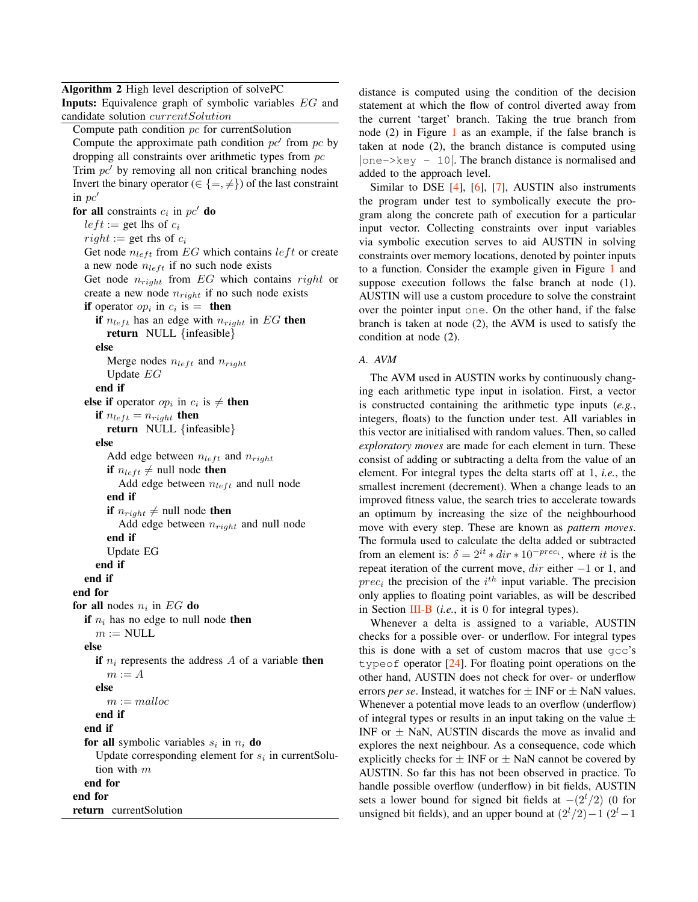Algorithm 2 High level description of solvePC

Inputs: Equivalence graph of symbolic variables EG and candidate solution currentSolution

Compute path condition pc for currentSolution Compute the approximate path condition  $pc'$  from  $pc$  by dropping all constraints over arithmetic types from pc Trim  $pc'$  by removing all non critical branching nodes Invert the binary operator ( $\in \{ =, \neq \}$ ) of the last constraint in  $pc'$ for all constraints  $c_i$  in  $pc'$  do  $left :=$  get lhs of  $c_i$  $right :=$  get rhs of  $c_i$ Get node  $n_{left}$  from EG which contains left or create a new node  $n_{left}$  if no such node exists Get node  $n_{right}$  from EG which contains right or create a new node  $n_{right}$  if no such node exists if operator  $op_i$  in  $c_i$  is = then if  $n_{left}$  has an edge with  $n_{right}$  in EG then return NULL {infeasible} else Merge nodes  $n_{left}$  and  $n_{right}$ Update EG end if else if operator  $op_i$  in  $c_i$  is  $\neq$  then if  $n_{left} = n_{right}$  then return NULL {infeasible} else Add edge between  $n_{left}$  and  $n_{right}$ if  $n_{left} \neq$  null node then Add edge between  $n_{left}$  and null node end if if  $n_{right} \neq$  null node then Add edge between  $n_{right}$  and null node end if Update EG end if end if end for for all nodes  $n_i$  in EG do if  $n_i$  has no edge to null node then  $m := \text{NULL}$ else if  $n_i$  represents the address A of a variable then  $m := A$ else  $m := \text{malloc}$ end if end if for all symbolic variables  $s_i$  in  $n_i$  do Update corresponding element for  $s_i$  in currentSolution with m end for end for return currentSolution

distance is computed using the condition of the decision statement at which the flow of control diverted away from the current 'target' branch. Taking the true branch from node (2) in Figure 1 as an example, if the false branch is taken at node (2), the branch distance is computed using  $|one->key - 10|$ . The branch distance is normalised and added to the approach level.

Similar to DSE [4], [6], [7], AUSTIN also instruments the program under test to symbolically execute the program along the concrete path of execution for a particular input vector. Collecting constraints over input variables via symbolic execution serves to aid AUSTIN in solving constraints over memory locations, denoted by pointer inputs to a function. Consider the example given in Figure 1 and suppose execution follows the false branch at node (1). AUSTIN will use a custom procedure to solve the constraint over the pointer input one. On the other hand, if the false branch is taken at node (2), the AVM is used to satisfy the condition at node (2).

# *A. AVM*

The AVM used in AUSTIN works by continuously changing each arithmetic type input in isolation. First, a vector is constructed containing the arithmetic type inputs (*e.g.*, integers, floats) to the function under test. All variables in this vector are initialised with random values. Then, so called *exploratory moves* are made for each element in turn. These consist of adding or subtracting a delta from the value of an element. For integral types the delta starts off at 1, *i.e.*, the smallest increment (decrement). When a change leads to an improved fitness value, the search tries to accelerate towards an optimum by increasing the size of the neighbourhood move with every step. These are known as *pattern moves*. The formula used to calculate the delta added or subtracted from an element is:  $\delta = 2^{it} * dir * 10^{-prec_i}$ , where *it* is the repeat iteration of the current move,  $dir$  either  $-1$  or 1, and  $prec_i$  the precision of the  $i<sup>th</sup>$  input variable. The precision only applies to floating point variables, as will be described in Section III-B (*i.e.*, it is 0 for integral types).

Whenever a delta is assigned to a variable, AUSTIN checks for a possible over- or underflow. For integral types this is done with a set of custom macros that use gcc's typeof operator [24]. For floating point operations on the other hand, AUSTIN does not check for over- or underflow errors *per se*. Instead, it watches for  $\pm$  INF or  $\pm$  NaN values. Whenever a potential move leads to an overflow (underflow) of integral types or results in an input taking on the value  $\pm$ INF or  $\pm$  NaN, AUSTIN discards the move as invalid and explores the next neighbour. As a consequence, code which explicitly checks for  $\pm$  INF or  $\pm$  NaN cannot be covered by AUSTIN. So far this has not been observed in practice. To handle possible overflow (underflow) in bit fields, AUSTIN sets a lower bound for signed bit fields at  $-(2^l/2)$  (0 for unsigned bit fields), and an upper bound at  $\left(\frac{2^l}{2}\right) - 1$   $\left(\frac{2^l}{-1}\right)$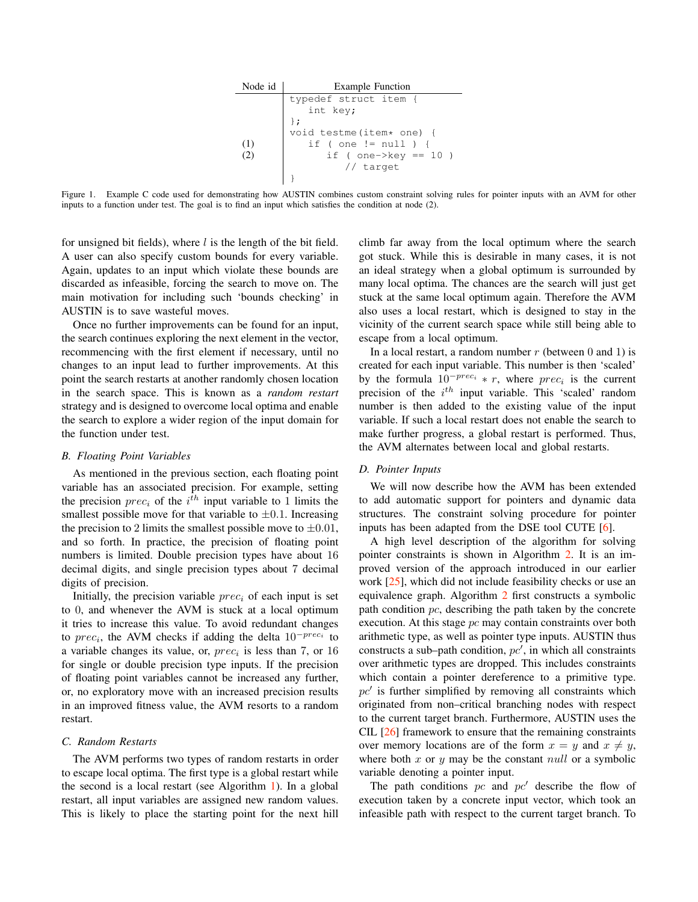| Node id | <b>Example Function</b>  |  |  |  |  |  |
|---------|--------------------------|--|--|--|--|--|
|         | typedef struct item {    |  |  |  |  |  |
|         | int key;                 |  |  |  |  |  |
|         |                          |  |  |  |  |  |
|         | void testme(item* one) { |  |  |  |  |  |
| (1)     | if ( one != $null$ ) {   |  |  |  |  |  |
|         | if ( $one->key == 10$ )  |  |  |  |  |  |
|         | // target                |  |  |  |  |  |
|         |                          |  |  |  |  |  |

Figure 1. Example C code used for demonstrating how AUSTIN combines custom constraint solving rules for pointer inputs with an AVM for other inputs to a function under test. The goal is to find an input which satisfies the condition at node (2).

for unsigned bit fields), where  $l$  is the length of the bit field. A user can also specify custom bounds for every variable. Again, updates to an input which violate these bounds are discarded as infeasible, forcing the search to move on. The main motivation for including such 'bounds checking' in AUSTIN is to save wasteful moves.

Once no further improvements can be found for an input, the search continues exploring the next element in the vector, recommencing with the first element if necessary, until no changes to an input lead to further improvements. At this point the search restarts at another randomly chosen location in the search space. This is known as a *random restart* strategy and is designed to overcome local optima and enable the search to explore a wider region of the input domain for the function under test.

#### *B. Floating Point Variables*

As mentioned in the previous section, each floating point variable has an associated precision. For example, setting the precision  $prec_i$  of the  $i<sup>th</sup>$  input variable to 1 limits the smallest possible move for that variable to  $\pm 0.1$ . Increasing the precision to 2 limits the smallest possible move to  $\pm 0.01$ , and so forth. In practice, the precision of floating point numbers is limited. Double precision types have about 16 decimal digits, and single precision types about 7 decimal digits of precision.

Initially, the precision variable  $prec_i$  of each input is set to 0, and whenever the AVM is stuck at a local optimum it tries to increase this value. To avoid redundant changes to prec<sub>i</sub>, the AVM checks if adding the delta  $10^{-prec_i}$  to a variable changes its value, or,  $prec_i$  is less than 7, or 16 for single or double precision type inputs. If the precision of floating point variables cannot be increased any further, or, no exploratory move with an increased precision results in an improved fitness value, the AVM resorts to a random restart.

#### *C. Random Restarts*

The AVM performs two types of random restarts in order to escape local optima. The first type is a global restart while the second is a local restart (see Algorithm 1). In a global restart, all input variables are assigned new random values. This is likely to place the starting point for the next hill climb far away from the local optimum where the search got stuck. While this is desirable in many cases, it is not an ideal strategy when a global optimum is surrounded by many local optima. The chances are the search will just get stuck at the same local optimum again. Therefore the AVM also uses a local restart, which is designed to stay in the vicinity of the current search space while still being able to escape from a local optimum.

In a local restart, a random number  $r$  (between 0 and 1) is created for each input variable. This number is then 'scaled' by the formula  $10^{-prec_i} * r$ , where  $prec_i$  is the current precision of the  $i^{th}$  input variable. This 'scaled' random number is then added to the existing value of the input variable. If such a local restart does not enable the search to make further progress, a global restart is performed. Thus, the AVM alternates between local and global restarts.

# *D. Pointer Inputs*

We will now describe how the AVM has been extended to add automatic support for pointers and dynamic data structures. The constraint solving procedure for pointer inputs has been adapted from the DSE tool CUTE [6].

A high level description of the algorithm for solving pointer constraints is shown in Algorithm 2. It is an improved version of the approach introduced in our earlier work [25], which did not include feasibility checks or use an equivalence graph. Algorithm 2 first constructs a symbolic path condition pc, describing the path taken by the concrete execution. At this stage  $pc$  may contain constraints over both arithmetic type, as well as pointer type inputs. AUSTIN thus constructs a sub–path condition,  $pc'$ , in which all constraints over arithmetic types are dropped. This includes constraints which contain a pointer dereference to a primitive type.  $pc'$  is further simplified by removing all constraints which originated from non–critical branching nodes with respect to the current target branch. Furthermore, AUSTIN uses the CIL [26] framework to ensure that the remaining constraints over memory locations are of the form  $x = y$  and  $x \neq y$ , where both  $x$  or  $y$  may be the constant *null* or a symbolic variable denoting a pointer input.

The path conditions  $pc$  and  $pc'$  describe the flow of execution taken by a concrete input vector, which took an infeasible path with respect to the current target branch. To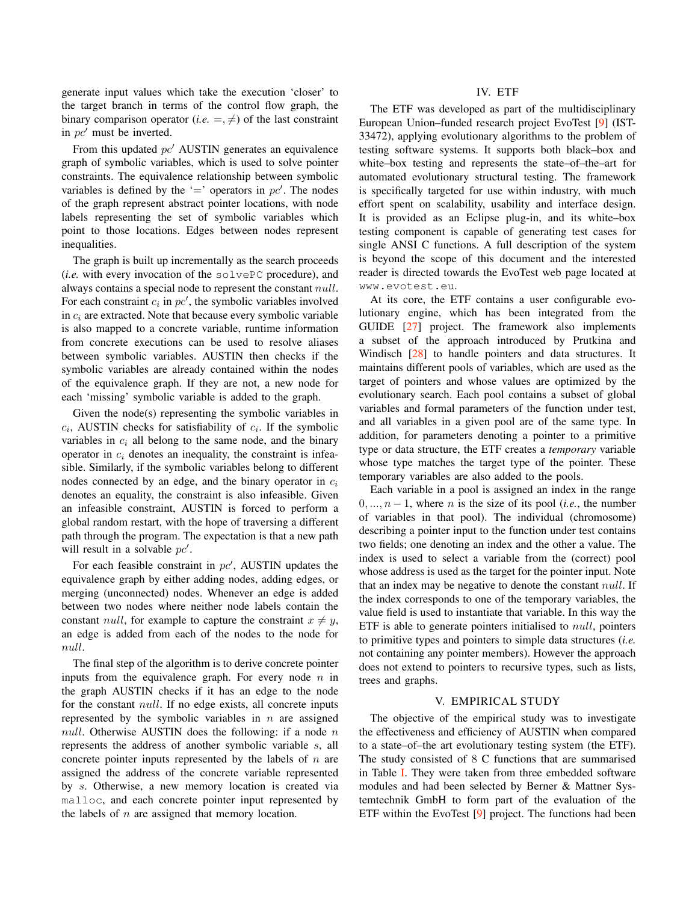generate input values which take the execution 'closer' to the target branch in terms of the control flow graph, the binary comparison operator  $(i.e. =, \neq)$  of the last constraint in  $pc'$  must be inverted.

From this updated  $pc'$  AUSTIN generates an equivalence graph of symbolic variables, which is used to solve pointer constraints. The equivalence relationship between symbolic variables is defined by the '=' operators in  $pc'$ . The nodes of the graph represent abstract pointer locations, with node labels representing the set of symbolic variables which point to those locations. Edges between nodes represent inequalities.

The graph is built up incrementally as the search proceeds (*i.e.* with every invocation of the solvePC procedure), and always contains a special node to represent the constant null. For each constraint  $c_i$  in  $pc'$ , the symbolic variables involved in  $c_i$  are extracted. Note that because every symbolic variable is also mapped to a concrete variable, runtime information from concrete executions can be used to resolve aliases between symbolic variables. AUSTIN then checks if the symbolic variables are already contained within the nodes of the equivalence graph. If they are not, a new node for each 'missing' symbolic variable is added to the graph.

Given the node(s) representing the symbolic variables in  $c_i$ , AUSTIN checks for satisfiability of  $c_i$ . If the symbolic variables in  $c_i$  all belong to the same node, and the binary operator in  $c_i$  denotes an inequality, the constraint is infeasible. Similarly, if the symbolic variables belong to different nodes connected by an edge, and the binary operator in  $c_i$ denotes an equality, the constraint is also infeasible. Given an infeasible constraint, AUSTIN is forced to perform a global random restart, with the hope of traversing a different path through the program. The expectation is that a new path will result in a solvable  $pc'.$ 

For each feasible constraint in  $pc'$ , AUSTIN updates the equivalence graph by either adding nodes, adding edges, or merging (unconnected) nodes. Whenever an edge is added between two nodes where neither node labels contain the constant *null*, for example to capture the constraint  $x \neq y$ , an edge is added from each of the nodes to the node for null.

The final step of the algorithm is to derive concrete pointer inputs from the equivalence graph. For every node  $n$  in the graph AUSTIN checks if it has an edge to the node for the constant null. If no edge exists, all concrete inputs represented by the symbolic variables in  $n$  are assigned null. Otherwise AUSTIN does the following: if a node  $n$ represents the address of another symbolic variable s, all concrete pointer inputs represented by the labels of  $n$  are assigned the address of the concrete variable represented by s. Otherwise, a new memory location is created via malloc, and each concrete pointer input represented by the labels of  $n$  are assigned that memory location.

## IV. ETF

The ETF was developed as part of the multidisciplinary European Union–funded research project EvoTest [9] (IST-33472), applying evolutionary algorithms to the problem of testing software systems. It supports both black–box and white–box testing and represents the state–of–the–art for automated evolutionary structural testing. The framework is specifically targeted for use within industry, with much effort spent on scalability, usability and interface design. It is provided as an Eclipse plug-in, and its white–box testing component is capable of generating test cases for single ANSI C functions. A full description of the system is beyond the scope of this document and the interested reader is directed towards the EvoTest web page located at www.evotest.eu.

At its core, the ETF contains a user configurable evolutionary engine, which has been integrated from the GUIDE [27] project. The framework also implements a subset of the approach introduced by Prutkina and Windisch [28] to handle pointers and data structures. It maintains different pools of variables, which are used as the target of pointers and whose values are optimized by the evolutionary search. Each pool contains a subset of global variables and formal parameters of the function under test, and all variables in a given pool are of the same type. In addition, for parameters denoting a pointer to a primitive type or data structure, the ETF creates a *temporary* variable whose type matches the target type of the pointer. These temporary variables are also added to the pools.

Each variable in a pool is assigned an index in the range  $0, \ldots, n-1$ , where *n* is the size of its pool (*i.e.*, the number of variables in that pool). The individual (chromosome) describing a pointer input to the function under test contains two fields; one denoting an index and the other a value. The index is used to select a variable from the (correct) pool whose address is used as the target for the pointer input. Note that an index may be negative to denote the constant  $null$ . If the index corresponds to one of the temporary variables, the value field is used to instantiate that variable. In this way the ETF is able to generate pointers initialised to *null*, pointers to primitive types and pointers to simple data structures (*i.e.* not containing any pointer members). However the approach does not extend to pointers to recursive types, such as lists, trees and graphs.

# V. EMPIRICAL STUDY

The objective of the empirical study was to investigate the effectiveness and efficiency of AUSTIN when compared to a state–of–the art evolutionary testing system (the ETF). The study consisted of 8 C functions that are summarised in Table I. They were taken from three embedded software modules and had been selected by Berner & Mattner Systemtechnik GmbH to form part of the evaluation of the ETF within the EvoTest [9] project. The functions had been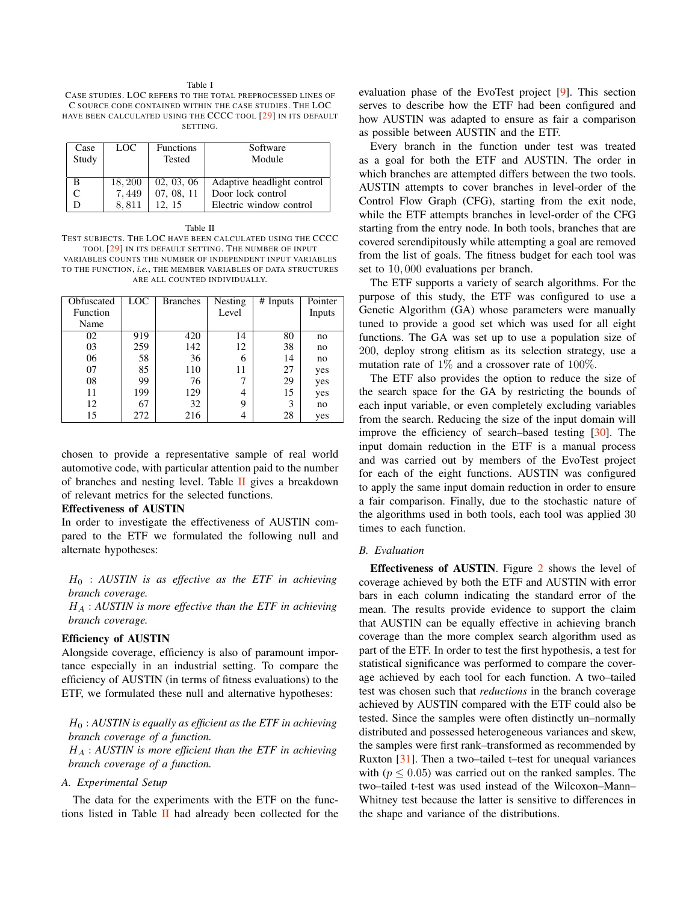#### Table I

CASE STUDIES. LOC REFERS TO THE TOTAL PREPROCESSED LINES OF C SOURCE CODE CONTAINED WITHIN THE CASE STUDIES. THE LOC HAVE BEEN CALCULATED USING THE CCCC TOOL [29] IN ITS DEFAULT SETTING.

| Case<br>Study | LOC     | <b>Functions</b><br>Tested | Software<br>Module         |
|---------------|---------|----------------------------|----------------------------|
| В             | 18, 200 | 02, 03, 06                 | Adaptive headlight control |
| $\subset$     | 7.449   | 07, 08, 11                 | Door lock control          |
|               | 8.811   | 12.15                      | Electric window control    |

Table II TEST SUBJECTS. THE LOC HAVE BEEN CALCULATED USING THE CCCC TOOL [29] IN ITS DEFAULT SETTING. THE NUMBER OF INPUT VARIABLES COUNTS THE NUMBER OF INDEPENDENT INPUT VARIABLES TO THE FUNCTION, *i.e.*, THE MEMBER VARIABLES OF DATA STRUCTURES ARE ALL COUNTED INDIVIDUALLY.

| Obfuscated | LOC | <b>Branches</b> | Nesting | # Inputs | Pointer |
|------------|-----|-----------------|---------|----------|---------|
| Function   |     |                 | Level   |          | Inputs  |
| Name       |     |                 |         |          |         |
| 02         | 919 | 420             | 14      | 80       | no      |
| 03         | 259 | 142             | 12      | 38       | no      |
| 06         | 58  | 36              | 6       | 14       | no      |
| 07         | 85  | 110             | 11      | 27       | yes     |
| 08         | 99  | 76              |         | 29       | yes     |
| 11         | 199 | 129             | 4       | 15       | yes     |
| 12         | 67  | 32              | 9       | 3        | no      |
| 15         | 272 | 216             |         | 28       | yes     |

chosen to provide a representative sample of real world automotive code, with particular attention paid to the number of branches and nesting level. Table II gives a breakdown of relevant metrics for the selected functions.

# Effectiveness of AUSTIN

In order to investigate the effectiveness of AUSTIN compared to the ETF we formulated the following null and alternate hypotheses:

H<sup>0</sup> : *AUSTIN is as effective as the ETF in achieving branch coverage.*

H<sup>A</sup> : *AUSTIN is more effective than the ETF in achieving branch coverage.*

# Efficiency of AUSTIN

Alongside coverage, efficiency is also of paramount importance especially in an industrial setting. To compare the efficiency of AUSTIN (in terms of fitness evaluations) to the ETF, we formulated these null and alternative hypotheses:

H<sup>0</sup> : *AUSTIN is equally as efficient as the ETF in achieving branch coverage of a function.*

H<sup>A</sup> : *AUSTIN is more efficient than the ETF in achieving branch coverage of a function.*

# *A. Experimental Setup*

The data for the experiments with the ETF on the functions listed in Table II had already been collected for the evaluation phase of the EvoTest project [9]. This section serves to describe how the ETF had been configured and how AUSTIN was adapted to ensure as fair a comparison as possible between AUSTIN and the ETF.

Every branch in the function under test was treated as a goal for both the ETF and AUSTIN. The order in which branches are attempted differs between the two tools. AUSTIN attempts to cover branches in level-order of the Control Flow Graph (CFG), starting from the exit node, while the ETF attempts branches in level-order of the CFG starting from the entry node. In both tools, branches that are covered serendipitously while attempting a goal are removed from the list of goals. The fitness budget for each tool was set to 10, 000 evaluations per branch.

The ETF supports a variety of search algorithms. For the purpose of this study, the ETF was configured to use a Genetic Algorithm (GA) whose parameters were manually tuned to provide a good set which was used for all eight functions. The GA was set up to use a population size of 200, deploy strong elitism as its selection strategy, use a mutation rate of 1% and a crossover rate of 100%.

The ETF also provides the option to reduce the size of the search space for the GA by restricting the bounds of each input variable, or even completely excluding variables from the search. Reducing the size of the input domain will improve the efficiency of search–based testing [30]. The input domain reduction in the ETF is a manual process and was carried out by members of the EvoTest project for each of the eight functions. AUSTIN was configured to apply the same input domain reduction in order to ensure a fair comparison. Finally, due to the stochastic nature of the algorithms used in both tools, each tool was applied 30 times to each function.

#### *B. Evaluation*

Effectiveness of AUSTIN. Figure 2 shows the level of coverage achieved by both the ETF and AUSTIN with error bars in each column indicating the standard error of the mean. The results provide evidence to support the claim that AUSTIN can be equally effective in achieving branch coverage than the more complex search algorithm used as part of the ETF. In order to test the first hypothesis, a test for statistical significance was performed to compare the coverage achieved by each tool for each function. A two–tailed test was chosen such that *reductions* in the branch coverage achieved by AUSTIN compared with the ETF could also be tested. Since the samples were often distinctly un–normally distributed and possessed heterogeneous variances and skew, the samples were first rank–transformed as recommended by Ruxton [31]. Then a two–tailed t–test for unequal variances with ( $p \le 0.05$ ) was carried out on the ranked samples. The two–tailed t-test was used instead of the Wilcoxon–Mann– Whitney test because the latter is sensitive to differences in the shape and variance of the distributions.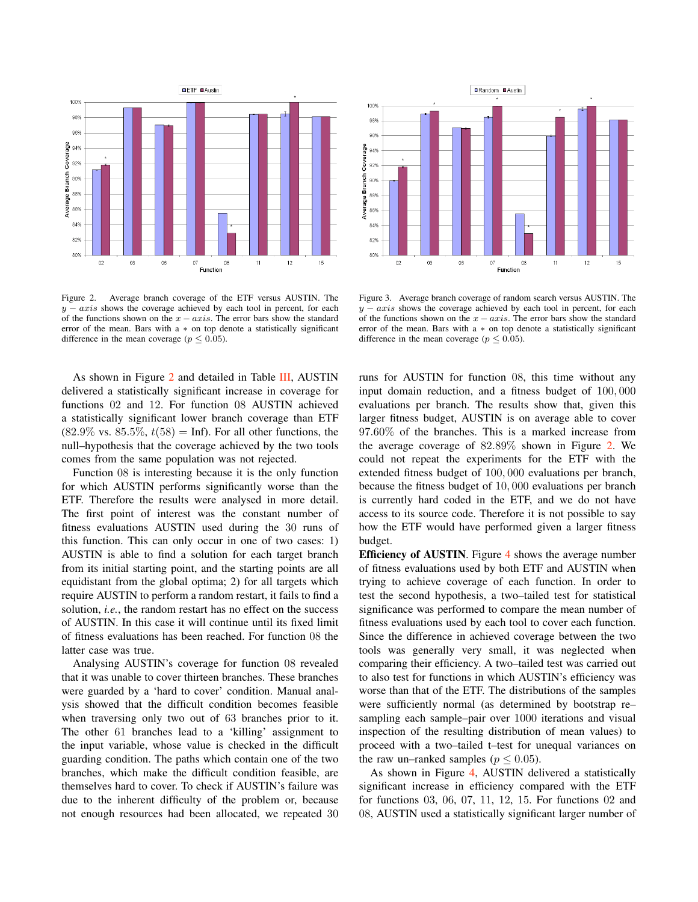

Figure 2. Average branch coverage of the ETF versus AUSTIN. The  $y - axis$  shows the coverage achieved by each tool in percent, for each of the functions shown on the  $x - axis$ . The error bars show the standard error of the mean. Bars with a  $*$  on top denote a statistically significant difference in the mean coverage ( $p \leq 0.05$ ).

As shown in Figure 2 and detailed in Table III, AUSTIN delivered a statistically significant increase in coverage for functions 02 and 12. For function 08 AUSTIN achieved a statistically significant lower branch coverage than ETF  $(82.9\% \text{ vs. } 85.5\%, t(58) = \text{Inf})$ . For all other functions, the null–hypothesis that the coverage achieved by the two tools comes from the same population was not rejected.

Function 08 is interesting because it is the only function for which AUSTIN performs significantly worse than the ETF. Therefore the results were analysed in more detail. The first point of interest was the constant number of fitness evaluations AUSTIN used during the 30 runs of this function. This can only occur in one of two cases: 1) AUSTIN is able to find a solution for each target branch from its initial starting point, and the starting points are all equidistant from the global optima; 2) for all targets which require AUSTIN to perform a random restart, it fails to find a solution, *i.e.*, the random restart has no effect on the success of AUSTIN. In this case it will continue until its fixed limit of fitness evaluations has been reached. For function 08 the latter case was true.

Analysing AUSTIN's coverage for function 08 revealed that it was unable to cover thirteen branches. These branches were guarded by a 'hard to cover' condition. Manual analysis showed that the difficult condition becomes feasible when traversing only two out of 63 branches prior to it. The other 61 branches lead to a 'killing' assignment to the input variable, whose value is checked in the difficult guarding condition. The paths which contain one of the two branches, which make the difficult condition feasible, are themselves hard to cover. To check if AUSTIN's failure was due to the inherent difficulty of the problem or, because not enough resources had been allocated, we repeated 30



Figure 3. Average branch coverage of random search versus AUSTIN. The  $y - axis$  shows the coverage achieved by each tool in percent, for each of the functions shown on the  $x - axis$ . The error bars show the standard error of the mean. Bars with a  $*$  on top denote a statistically significant difference in the mean coverage ( $p \leq 0.05$ ).

runs for AUSTIN for function 08, this time without any input domain reduction, and a fitness budget of 100, 000 evaluations per branch. The results show that, given this larger fitness budget, AUSTIN is on average able to cover 97.60% of the branches. This is a marked increase from the average coverage of 82.89% shown in Figure 2. We could not repeat the experiments for the ETF with the extended fitness budget of 100, 000 evaluations per branch, because the fitness budget of 10, 000 evaluations per branch is currently hard coded in the ETF, and we do not have access to its source code. Therefore it is not possible to say how the ETF would have performed given a larger fitness budget.

Efficiency of AUSTIN. Figure 4 shows the average number of fitness evaluations used by both ETF and AUSTIN when trying to achieve coverage of each function. In order to test the second hypothesis, a two–tailed test for statistical significance was performed to compare the mean number of fitness evaluations used by each tool to cover each function. Since the difference in achieved coverage between the two tools was generally very small, it was neglected when comparing their efficiency. A two–tailed test was carried out to also test for functions in which AUSTIN's efficiency was worse than that of the ETF. The distributions of the samples were sufficiently normal (as determined by bootstrap re– sampling each sample–pair over 1000 iterations and visual inspection of the resulting distribution of mean values) to proceed with a two–tailed t–test for unequal variances on the raw un–ranked samples ( $p \le 0.05$ ).

As shown in Figure 4, AUSTIN delivered a statistically significant increase in efficiency compared with the ETF for functions 03, 06, 07, 11, 12, 15. For functions 02 and 08, AUSTIN used a statistically significant larger number of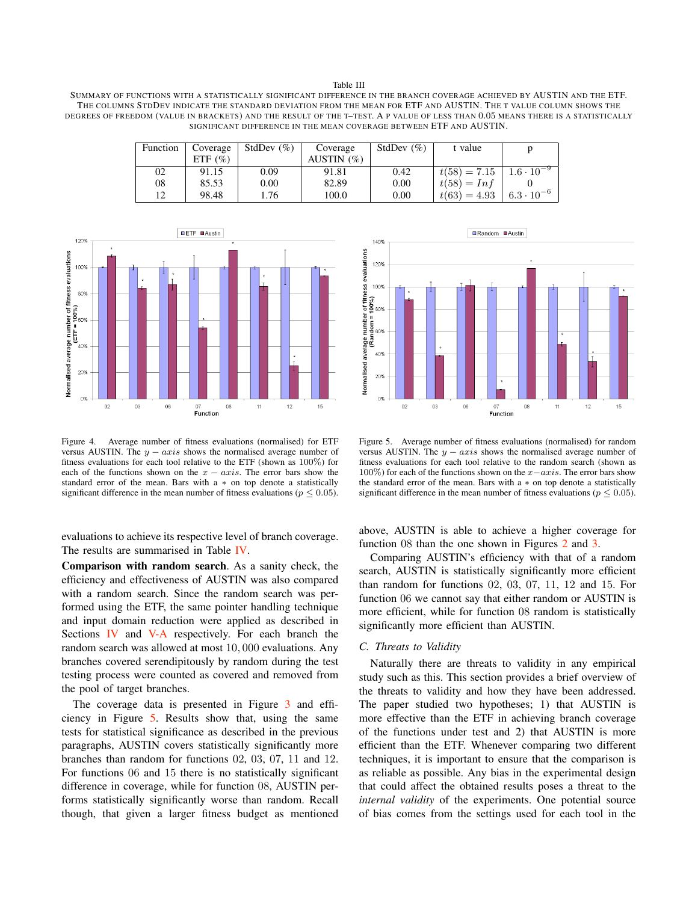#### SUMMARY OF FUNCTIONS WITH A STATISTICALLY SIGNIFICANT DIFFERENCE IN THE BRANCH COVERAGE ACHIEVED BY AUSTIN AND THE ETF. THE COLUMNS STDDEV INDICATE THE STANDARD DEVIATION FROM THE MEAN FOR ETF AND AUSTIN. THE T VALUE COLUMN SHOWS THE DEGREES OF FREEDOM (VALUE IN BRACKETS) AND THE RESULT OF THE T–TEST. A P VALUE OF LESS THAN 0.05 MEANS THERE IS A STATISTICALLY SIGNIFICANT DIFFERENCE IN THE MEAN COVERAGE BETWEEN ETF AND AUSTIN.

| Function | Coverage    | StdDev $(\%)$ | Coverage      | StdDev $(\%)$ | t value                              |                     |
|----------|-------------|---------------|---------------|---------------|--------------------------------------|---------------------|
|          | ETF $(\% )$ |               | AUSTIN $(\%)$ |               |                                      |                     |
| 02       | 91.15       | 0.09          | 91.81         | 0.42          | $t(58) = 7.15 \pm 1.6 \cdot 10^{-9}$ |                     |
| 08       | 85.53       | 0.00          | 82.89         | 0.00          | $t(58) = Inf$                        |                     |
| 12       | 98.48       | l.76          | 100.0         | 0.00          | $t(63) = 4.93$                       | $6.3 \cdot 10^{-6}$ |



Figure 4. Average number of fitness evaluations (normalised) for ETF versus AUSTIN. The  $y - axis$  shows the normalised average number of fitness evaluations for each tool relative to the ETF (shown as 100%) for each of the functions shown on the  $x - axis$ . The error bars show the standard error of the mean. Bars with a ∗ on top denote a statistically significant difference in the mean number of fitness evaluations ( $p \leq 0.05$ ).

evaluations to achieve its respective level of branch coverage. The results are summarised in Table IV.

Comparison with random search. As a sanity check, the efficiency and effectiveness of AUSTIN was also compared with a random search. Since the random search was performed using the ETF, the same pointer handling technique and input domain reduction were applied as described in Sections IV and V-A respectively. For each branch the random search was allowed at most 10, 000 evaluations. Any branches covered serendipitously by random during the test testing process were counted as covered and removed from the pool of target branches.

The coverage data is presented in Figure 3 and efficiency in Figure 5. Results show that, using the same tests for statistical significance as described in the previous paragraphs, AUSTIN covers statistically significantly more branches than random for functions 02, 03, 07, 11 and 12. For functions 06 and 15 there is no statistically significant difference in coverage, while for function 08, AUSTIN performs statistically significantly worse than random. Recall though, that given a larger fitness budget as mentioned



Figure 5. Average number of fitness evaluations (normalised) for random versus AUSTIN. The  $y - axis$  shows the normalised average number of fitness evaluations for each tool relative to the random search (shown as  $100\%$ ) for each of the functions shown on the  $x-axis$ . The error bars show the standard error of the mean. Bars with a  $*$  on top denote a statistically significant difference in the mean number of fitness evaluations ( $p \leq 0.05$ ).

above, AUSTIN is able to achieve a higher coverage for function 08 than the one shown in Figures 2 and 3.

Comparing AUSTIN's efficiency with that of a random search, AUSTIN is statistically significantly more efficient than random for functions 02, 03, 07, 11, 12 and 15. For function 06 we cannot say that either random or AUSTIN is more efficient, while for function 08 random is statistically significantly more efficient than AUSTIN.

#### *C. Threats to Validity*

Naturally there are threats to validity in any empirical study such as this. This section provides a brief overview of the threats to validity and how they have been addressed. The paper studied two hypotheses; 1) that AUSTIN is more effective than the ETF in achieving branch coverage of the functions under test and 2) that AUSTIN is more efficient than the ETF. Whenever comparing two different techniques, it is important to ensure that the comparison is as reliable as possible. Any bias in the experimental design that could affect the obtained results poses a threat to the *internal validity* of the experiments. One potential source of bias comes from the settings used for each tool in the

#### Table III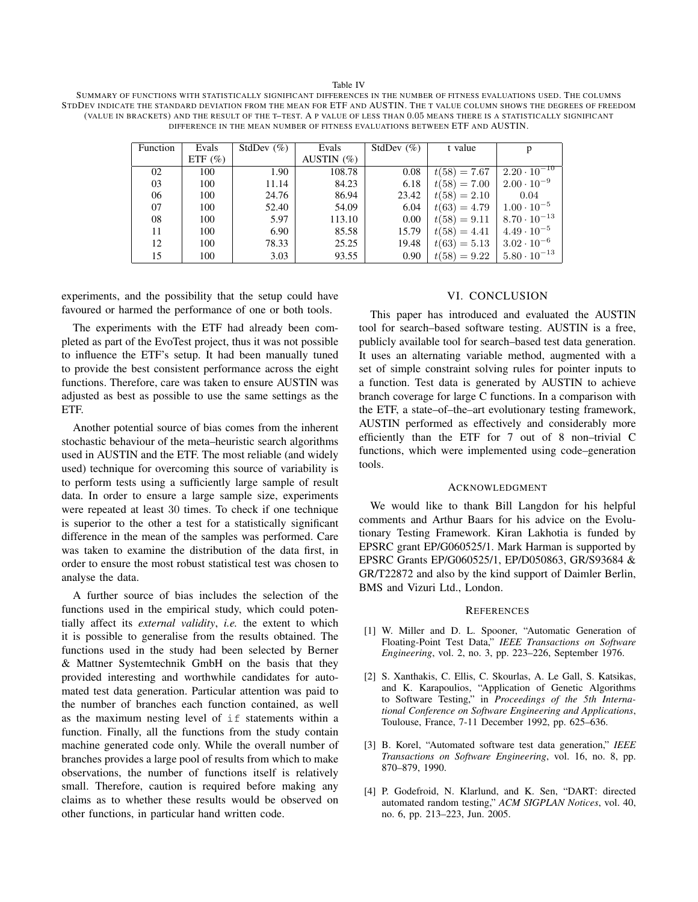SUMMARY OF FUNCTIONS WITH STATISTICALLY SIGNIFICANT DIFFERENCES IN THE NUMBER OF FITNESS EVALUATIONS USED. THE COLUMNS STDDEV INDICATE THE STANDARD DEVIATION FROM THE MEAN FOR ETF AND AUSTIN. THE T VALUE COLUMN SHOWS THE DEGREES OF FREEDOM (VALUE IN BRACKETS) AND THE RESULT OF THE T–TEST. A P VALUE OF LESS THAN 0.05 MEANS THERE IS A STATISTICALLY SIGNIFICANT DIFFERENCE IN THE MEAN NUMBER OF FITNESS EVALUATIONS BETWEEN ETF AND AUSTIN.

| Function | Evals       | StdDev $(\%)$ | Evals         | StdDev $(\%)$ | t value        |                       |
|----------|-------------|---------------|---------------|---------------|----------------|-----------------------|
|          | ETF $(\% )$ |               | AUSTIN $(\%)$ |               |                |                       |
| 02       | 100         | 1.90          | 108.78        | 0.08          | $t(58) = 7.67$ | $2.20 \cdot 10^{-10}$ |
| 03       | 100         | 11.14         | 84.23         | 6.18          | $t(58) = 7.00$ | $2.00 \cdot 10^{-9}$  |
| 06       | 100         | 24.76         | 86.94         | 23.42         | $t(58) = 2.10$ | 0.04                  |
| 07       | 100         | 52.40         | 54.09         | 6.04          | $t(63) = 4.79$ | $1.00 \cdot 10^{-5}$  |
| 08       | 100         | 5.97          | 113.10        | 0.00          | $t(58) = 9.11$ | $8.70 \cdot 10^{-13}$ |
| 11       | 100         | 6.90          | 85.58         | 15.79         | $t(58) = 4.41$ | $4.49 \cdot 10^{-5}$  |
| 12       | 100         | 78.33         | 25.25         | 19.48         | $t(63) = 5.13$ | $3.02 \cdot 10^{-6}$  |
| 15       | 100         | 3.03          | 93.55         | 0.90          | $t(58) = 9.22$ | $5.80 \cdot 10^{-13}$ |

experiments, and the possibility that the setup could have favoured or harmed the performance of one or both tools.

The experiments with the ETF had already been completed as part of the EvoTest project, thus it was not possible to influence the ETF's setup. It had been manually tuned to provide the best consistent performance across the eight functions. Therefore, care was taken to ensure AUSTIN was adjusted as best as possible to use the same settings as the ETF.

Another potential source of bias comes from the inherent stochastic behaviour of the meta–heuristic search algorithms used in AUSTIN and the ETF. The most reliable (and widely used) technique for overcoming this source of variability is to perform tests using a sufficiently large sample of result data. In order to ensure a large sample size, experiments were repeated at least 30 times. To check if one technique is superior to the other a test for a statistically significant difference in the mean of the samples was performed. Care was taken to examine the distribution of the data first, in order to ensure the most robust statistical test was chosen to analyse the data.

A further source of bias includes the selection of the functions used in the empirical study, which could potentially affect its *external validity*, *i.e.* the extent to which it is possible to generalise from the results obtained. The functions used in the study had been selected by Berner & Mattner Systemtechnik GmbH on the basis that they provided interesting and worthwhile candidates for automated test data generation. Particular attention was paid to the number of branches each function contained, as well as the maximum nesting level of if statements within a function. Finally, all the functions from the study contain machine generated code only. While the overall number of branches provides a large pool of results from which to make observations, the number of functions itself is relatively small. Therefore, caution is required before making any claims as to whether these results would be observed on other functions, in particular hand written code.

## VI. CONCLUSION

This paper has introduced and evaluated the AUSTIN tool for search–based software testing. AUSTIN is a free, publicly available tool for search–based test data generation. It uses an alternating variable method, augmented with a set of simple constraint solving rules for pointer inputs to a function. Test data is generated by AUSTIN to achieve branch coverage for large C functions. In a comparison with the ETF, a state–of–the–art evolutionary testing framework, AUSTIN performed as effectively and considerably more efficiently than the ETF for 7 out of 8 non–trivial C functions, which were implemented using code–generation tools.

#### ACKNOWLEDGMENT

We would like to thank Bill Langdon for his helpful comments and Arthur Baars for his advice on the Evolutionary Testing Framework. Kiran Lakhotia is funded by EPSRC grant EP/G060525/1. Mark Harman is supported by EPSRC Grants EP/G060525/1, EP/D050863, GR/S93684 & GR/T22872 and also by the kind support of Daimler Berlin, BMS and Vizuri Ltd., London.

#### **REFERENCES**

- [1] W. Miller and D. L. Spooner, "Automatic Generation of Floating-Point Test Data," *IEEE Transactions on Software Engineering*, vol. 2, no. 3, pp. 223–226, September 1976.
- [2] S. Xanthakis, C. Ellis, C. Skourlas, A. Le Gall, S. Katsikas, and K. Karapoulios, "Application of Genetic Algorithms to Software Testing," in *Proceedings of the 5th International Conference on Software Engineering and Applications*, Toulouse, France, 7-11 December 1992, pp. 625–636.
- [3] B. Korel, "Automated software test data generation," *IEEE Transactions on Software Engineering*, vol. 16, no. 8, pp. 870–879, 1990.
- [4] P. Godefroid, N. Klarlund, and K. Sen, "DART: directed automated random testing," *ACM SIGPLAN Notices*, vol. 40, no. 6, pp. 213–223, Jun. 2005.

#### Table IV